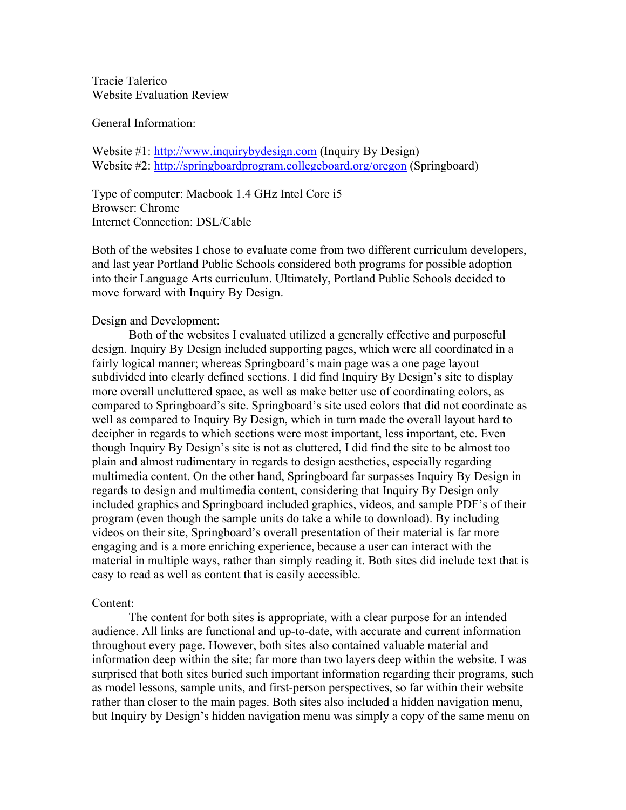Tracie Talerico Website Evaluation Review

General Information:

Website #1: http://www.inquirybydesign.com (Inquiry By Design) Website #2: http://springboardprogram.collegeboard.org/oregon (Springboard)

Type of computer: Macbook 1.4 GHz Intel Core i5 Browser: Chrome Internet Connection: DSL/Cable

Both of the websites I chose to evaluate come from two different curriculum developers, and last year Portland Public Schools considered both programs for possible adoption into their Language Arts curriculum. Ultimately, Portland Public Schools decided to move forward with Inquiry By Design.

# Design and Development:

Both of the websites I evaluated utilized a generally effective and purposeful design. Inquiry By Design included supporting pages, which were all coordinated in a fairly logical manner; whereas Springboard's main page was a one page layout subdivided into clearly defined sections. I did find Inquiry By Design's site to display more overall uncluttered space, as well as make better use of coordinating colors, as compared to Springboard's site. Springboard's site used colors that did not coordinate as well as compared to Inquiry By Design, which in turn made the overall layout hard to decipher in regards to which sections were most important, less important, etc. Even though Inquiry By Design's site is not as cluttered, I did find the site to be almost too plain and almost rudimentary in regards to design aesthetics, especially regarding multimedia content. On the other hand, Springboard far surpasses Inquiry By Design in regards to design and multimedia content, considering that Inquiry By Design only included graphics and Springboard included graphics, videos, and sample PDF's of their program (even though the sample units do take a while to download). By including videos on their site, Springboard's overall presentation of their material is far more engaging and is a more enriching experience, because a user can interact with the material in multiple ways, rather than simply reading it. Both sites did include text that is easy to read as well as content that is easily accessible.

# Content:

The content for both sites is appropriate, with a clear purpose for an intended audience. All links are functional and up-to-date, with accurate and current information throughout every page. However, both sites also contained valuable material and information deep within the site; far more than two layers deep within the website. I was surprised that both sites buried such important information regarding their programs, such as model lessons, sample units, and first-person perspectives, so far within their website rather than closer to the main pages. Both sites also included a hidden navigation menu, but Inquiry by Design's hidden navigation menu was simply a copy of the same menu on